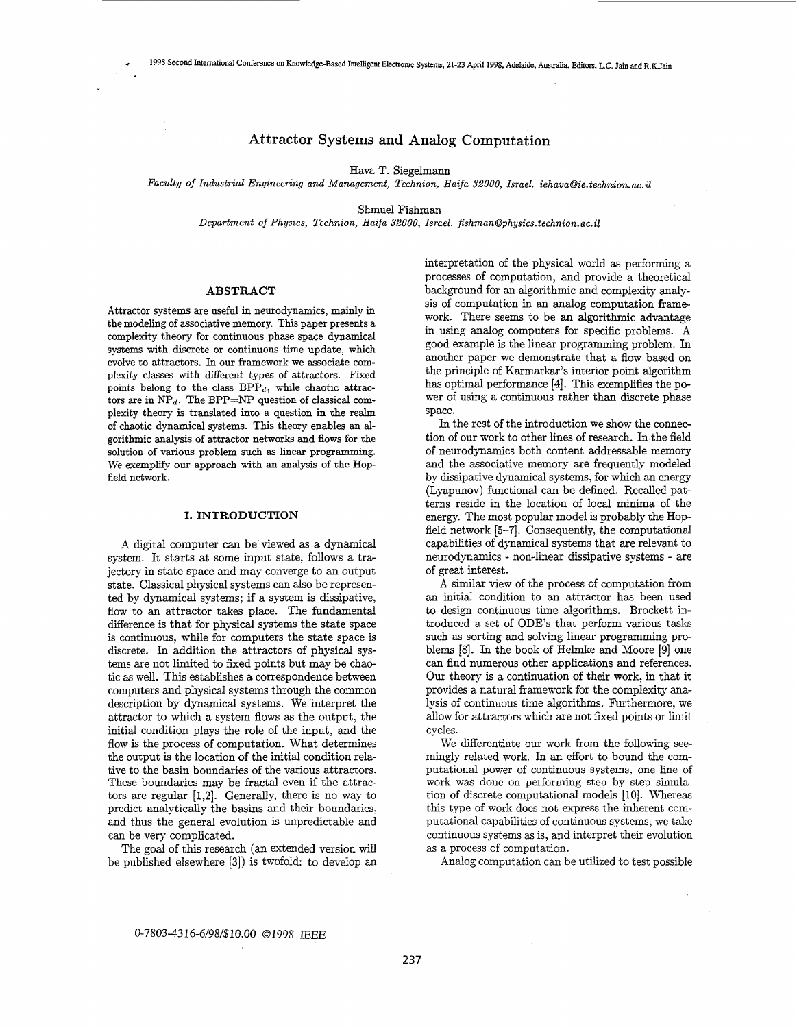## **Attractor** Systems **and Analog** Computation

Hava T. Siegelmann

*Faculty* of *Industrial Engineering and Management, Technion, Haifa 32000, Israel. iehava@ie.technion.ac.il* 

Shmuel Fishman

*Department of Physics, Technion, Haifa 32000, Israel. fishman@physics.technion.ac.il* 

#### **ABSTRACT**

Attractor systems are useful in neurodynamics, mainly in the modeling of associative memory. **This** paper presents a complexity theory for continuous phase space dynamical systems with discrete or continuous time update, which evolve to attractors. **In** our framework we associate complexity classes with different types of attractors. Fixed points belong to the class  $BPP_d$ , while chaotic attractors are in  $NP<sub>d</sub>$ . The BPP=NP question of classical complexity theory is translated into a question in the realm of chaotic dynamical systems. This theory enables an algorithmic analysis of attractor networks and flows for the solution of various problem such **as** linear programming. We exemplify our approach with an analysis of the Hopfield network.

## **I. INTRODUCTION**

**A** digital computer can be viewed **as** a dynamical system. It starts at some input state, follows a trajectory in state space and may converge to an output state. Classical physical systems can also be represented by dynamical systems; if a system is dissipative, flow to an attractor takes place. The fundamental difference is that for physical systems the state space is continuous, while for computers the state space is discrete. In addition the attractors of physical systems are not limited to fixed points but may be chaotic **as** well. This establishes a correspondence between computers and physical systems through the common description by dynamical systems. We interpret the attractor to which a system flows as the output, the initial condition plays the role of the input, and the flow is the process of computation. What determines the output is the location of the initial condition relative to the basin boundaries of the various attractors. These boundaries may be fractal even if the attractors are regular **[1,2].** Generally, there is no way to predict analytically the basins and their boundaries, and thus the general evolution is unpredictable and can be very complicated.

The goal of this research (an extended version will be published elsewhere **[3])** is twofold: to develop **an**  interpretation of the physical world as performing a processes of computation, and provide a theoretical background for an algorithmic and complexity analysis of computation in an analog computation framework. There seems to be **an** algorithmic advantage in using analog computers for specific problems. **A**  good example is the linear programming problem. In another paper we demonstrate that a flow based on the principle of Karmarkar's interior point algorithm has optimal performance **[4].** This exemplifies the power of using a continuous rather than discrete phase space.

**In** the rest of the introduction we show the connection of our work to other lines of research. In the field of neurodynamics both content addressable memory and the associative memory are frequently modeled by dissipative dynamical systems, for which an energy (Lyapunov) functional can be defined. Recalled patterns reside in the location of local minima of the energy. The most popular model is probably the Hopfield network **[5-71.** Consequently, the computational capabilities of dynamical systems that are relevant to neurodynamics - non-linear dissipative systems - are of great interest.

**A** similar view of the process of computation from an initial condition to an attractor has been used to design continuous time algorithms. Brockett introduced a set of ODE'S that perform various tasks such **as** sorting and solving linear programming problems [8]. In the book of Helmke and Moore [9] one can find numerous other applications and references. Our theory is a continuation of their work, in that it provides a natural framework for the complexity analysis of continuous time algorithms. Furthermore, we allow for attractors which are not fixed points or limit cycles.

We differentiate our work from the following seemingly related work. In an effort to bound the computational power of continuous systems, one line of work was done on performing step by step simulation of discrete computational models [10]. Whereas this type of work does not express the inherent computational capabilities of continuous systems, we take continuous systems as is, and interpret their evolution as a process of computation.

Analog computation can be utilized to test possible

# 0-7803-43 *16-6/98/\$10.00* 01998 IEEE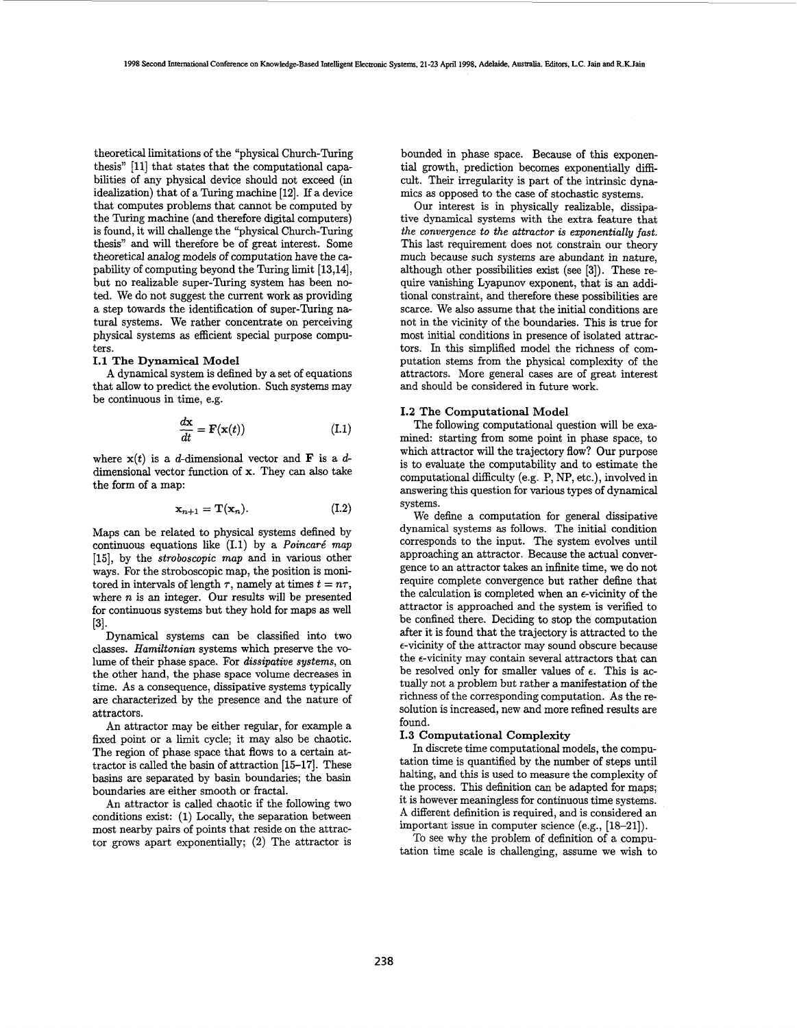theoretical limitations of the "physical Church-Turing thesis" **[ll]** that states that the computational capabilities of any physical device should not exceed (in idealization) that of a Turing machine **[12].** If a device that computes problems that cannot be computed by the Turing machine (and therefore digital computers) is found, it will challenge the "physical Church-Turing thesis" and will therefore be of great interest. Some theoretical analog models of computation have the capability of computing beyond the **Turing** limit **[13,14],**  but no realizable super-Turing system has been noted. We do not suggest the current work **as** providing a step towards the identification of super-Turing natural systems. We rather concentrate on perceiving physical systems **as** efficient special purpose computers.

## **1.1 The Dynamical Model**

A dynamical system is defined by a set of equations that allow to predict the evolution. Such systems may be continuous in time, e.g.<br>  $\frac{d\mathbf{x}}{dt} = \mathbf{F}(\mathbf{x}(t))$ 

$$
\frac{d\mathbf{x}}{dt} = \mathbf{F}(\mathbf{x}(t))\tag{I.1}
$$

where  $x(t)$  is a *d*-dimensional vector and **F** is a *d*dimensional vector function of *x.* They can also take the form of a map:

$$
\mathbf{x}_{n+1} = \mathbf{T}(\mathbf{x}_n). \tag{I.2}
$$

Maps can be related to physical systems defined by continuous equations like **(1.1)** by a *Poincare' map*  **[15],** by the *stroboscopic map* and in various other ways. For the stroboscopic map, the position is monitored in intervals of length  $\tau$ , namely at times  $t = n\tau$ , where *n* is an integer. Our results will be presented for continuous systems but they hold for maps **as** well **[31.** 

Dynamical systems can be classified into two classes. *Hamiltonian* systems which preserve the volume of their phase space. For *dissipative systems,* on the other hand, the phase space volume decreases in time. As a consequence, dissipative systems typically are characterized by the presence and the nature of attractors.

An attractor may be either regular, for example a fixed point or a limit cycle; it may also be chaotic. The region of phase space that **flows** to a certain attractor is called the basin of attraction **[15-171.** These basins are separated by basin boundaries; the basin boundaries are either smooth or fractal.

An attractor is called chaotic if the following two conditions exist: **(1)** Locally, the separation between most nearby pairs of points that reside on the attractor grows apart exponentially; (2) The attractor is

bounded in phase space. Because of this exponential growth, prediction becomes exponentially **diffi**cult. Their irregularity is part of the intrinsic dynamics **as** opposed to the case of stochastic systems.

Our interest is in physically realizable, dissipative dynamical systems with the extra feature that *the convergence to the attractor is exponentially fast.*  This last requirement does not constrain our theory much because such systems are abundant in nature, although other possibilities exist (see **[3]).** These **re**quire vanishing Lyapunov exponent, that is an additional constraint, and therefore these possibilities are scarce. We also assume that the initial conditions are not in the vicinity of the boundaries. This is true for most initial conditions in presence of isolated attractors. In this simplified model the richness of computation stems from the physical complexity of the attractors. More general cases are of great interest and should be considered in future **work.** 

## **1.2** The **Computational Model**

The following computational question will be examined: starting from some point in phase space, to which attractor will the trajectory flow? Our purpose is to evaluate the computability and to estimate the computational difficulty (e.g. P, NP, etc.), involved in answering this question for various types of dynamical systems.

We define a computation for general dissipative dynamical systems **as** follows. The initial condition corresponds to the input. The system evolves until approaching an attractor. Because the actual convergence to an attractor takes an infinite time, we do not require complete convergence but rather define that the calculation is completed when an  $\epsilon$ -vicinity of the attractor is approached and the system is verified to be confined there. Deciding to stop the computation after it is found that the trajectory is attracted to the €-vicinity of the attractor may sound obscure because the  $\epsilon$ -vicinity may contain several attractors that can be resolved only for smaller values of  $\epsilon$ . This is actually not **a** problem but rather a manifestation of the richness of the corresponding computation. As the resolution is increased, new and more refined results are found.

# **1.3 Computational Complexity**

In discrete time computational models, the computation time is quantified by the number of steps until halting, and this is used to measure the complexity of the process. This definition can be adapted for maps; it is however meaningless for continuous time systems. **A** different definition is required, and is considered an important issue in computer science (e.g., **[18-211).** 

To see why the problem of definition of a computation time scale is challenging, assume we wish to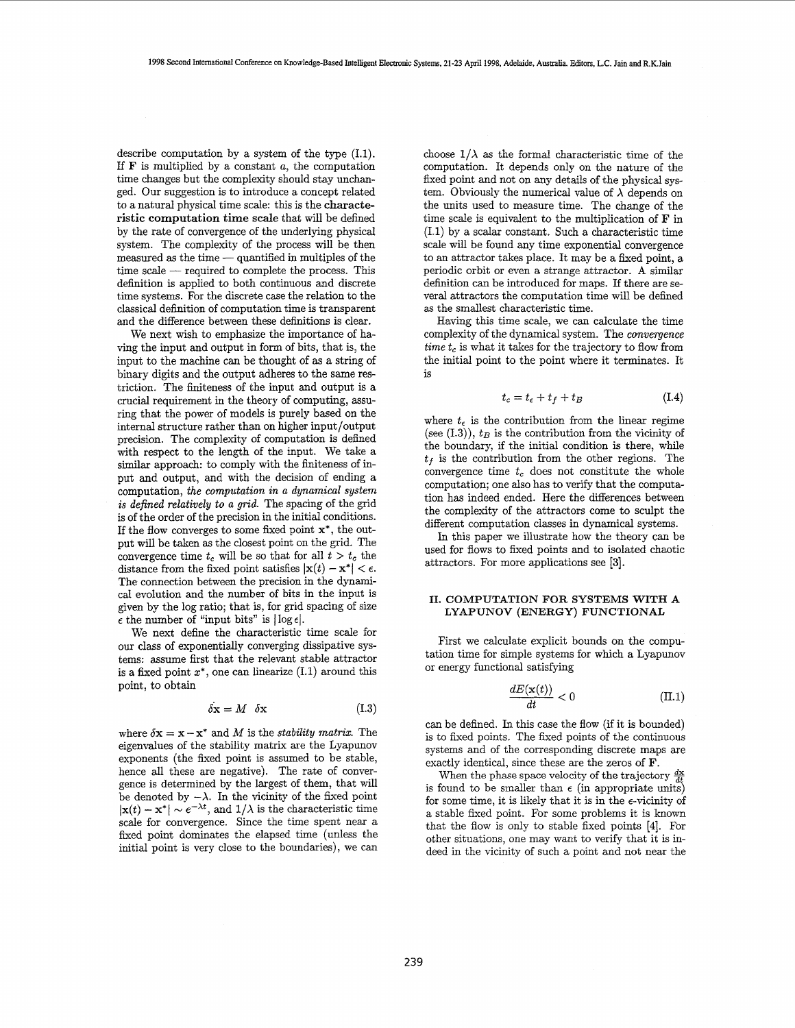describe computation by a system of the type (1.1). If **F** is multiplied by a constant *a,* the computation time changes but the complexity should stay unchanged. Our suggestion is to introduce a concept related to a natural physical time scale: this is the characteristic computation time scale that will be defined by the rate of convergence of the underlying physical system. The complexity of the process will be then measured **as** the time - quantified in multiples of the measured as the time  $-$  quantified in multiples of the time scale  $-$  required to complete the process. This definition is applied to both continuous and discrete time systems. For the discrete case the relation to the classical definition of computation time is transparent and the difference between these definitions is clear.

We next wish to emphasize the importance of having the input and output in form of bits, that is, the input to the machine can be thought of **as** a string of binary digits and the output adheres to the same restriction. The finiteness of the input and output is a crucial requirement in the theory of computing, assuring that the power of models is purely based on the internal structure rather than on higher input/output precision. The complexity of computation is defined with respect to the length of the input. We take a similar approach: to comply with the finiteness of input and output, and with the decision of ending a computation, *the computation in a dynamical system is defined relatively to a grid.* The spacing of the grid is of the order of the precision in the initial conditions. If the flow converges to some fixed point *x\*,* the output will be taken as the closest point on the grid. The convergence time  $t_c$  will be so that for all  $t > t_c$  the distance from the fixed point satisfies  $|x(t) - x^*| < \epsilon$ . The connection between the precision in the dynamical evolution and the number of bits in the input is given by the log ratio; that is, for grid spacing of size  $\epsilon$  the number of "input bits" is  $|\log \epsilon|$ .

We next define the characteristic time scale for our class of exponentially converging dissipative systems: assume first that the relevant stable attractor is a fixed point  $x^*,$  one can linearize (I.1) around this point, to obtain

$$
\delta \mathbf{x} = M \quad \delta \mathbf{x} \tag{I.3}
$$

where  $\delta x = x - x^*$  and *M* is the *stability matrix*. The eigenvalues of the stability matrix are the Lyapunov exponents (the fixed point is assumed to be stable, hence all these are negative). The rate of convergence is determined by the largest of them, that will be denoted by  $-\lambda$ . In the vicinity of the fixed point  $|\mathbf{x}(t) - \mathbf{x}^*| \sim e^{-\lambda t}$ , and  $1/\lambda$  is the characteristic time scale for convergence. Since the time spent near a fixed point dominates the elapsed time (unless the initial point is very close to the boundaries), we can choose  $1/\lambda$  as the formal characteristic time of the computation. It depends only on the nature of the fixed point and not on any details of the physical system. Obviously the numerical value of  $\lambda$  depends on the units used to measure time. The change of the time scale is equivalent to the multiplication of **F** in (1.1) by a scalar constant. Such a characteristic time scale will be found any time exponential convergence to an attractor takes place. It may be a fixed point, a periodic orbit or even a strange attractor. **A** similar definition can be introduced for maps. If there are several attractors the computation time will be defined as the smallest characteristic time.

Having this time scale, we can calculate the time complexity of the dynamical system. The *convergence time t,* is what it takes for the trajectory to flow from the initial point to the point where it terminates. It is

$$
t_c = t_{\epsilon} + t_f + t_B \tag{I.4}
$$

where  $t_{\epsilon}$  is the contribution from the linear regime (see  $(1.3)$ ),  $t_B$  is the contribution from the vicinity of the boundary, if the initial condition is there, while  $t_f$  is the contribution from the other regions. The convergence time  $t_c$  does not constitute the whole computation; one also has to verify that the computation has indeed ended. Here the differences between the complexity of the attractors come to sculpt the different computation classes in dynamical systems.

In this paper we illustrate how the theory can be used for flows to fixed points and to isolated chaotic attractors. For more applications see [3].

#### **11. COMPUTATION FOR SYSTEMS WITH A LYAPUNOV (ENERGY) FUNCTIONAL**

First we calculate explicit bounds on the computation time for simple systems for which a Lyapunov or energy functional satisfying

$$
\frac{dE(\mathbf{x}(t))}{dt} < 0 \tag{II.1}
$$

can be defined. In this case the flow (if it is bounded) is to fixed points. The fixed points of the continuous systems and of the corresponding discrete maps are exactly identical, since these are the zeros of **F.** 

When the phase space velocity of the trajectory  $\frac{dx}{dt}$ is found to be smaller than  $\epsilon$  (in appropriate units) for some time, it is likely that it is in the  $\epsilon$ -vicinity of a stable fixed point. For some problems it is known that the flow is only to stable fixed points [4]. For other situations, one may want to verify that it is indeed in the vicinity of such a point and not near the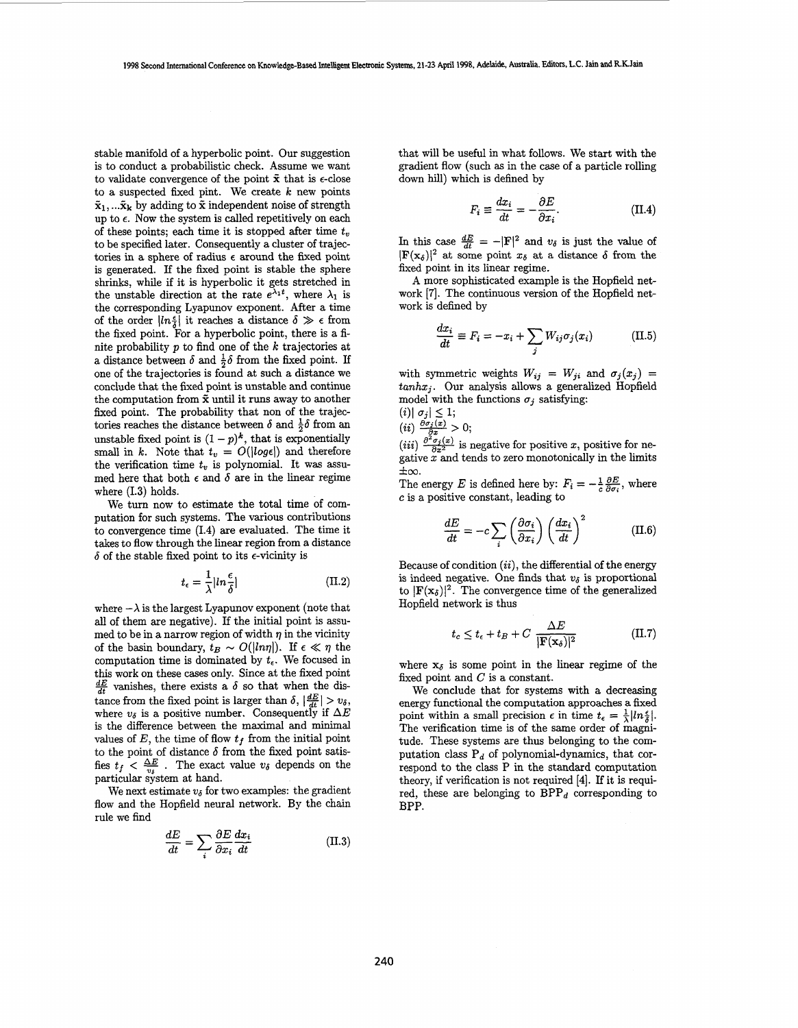stable manifold of a hyperbolic point. Our suggestion is to conduct a probabilistic check. Assume we want to validate convergence of the point  $\tilde{x}$  that is  $\epsilon$ -close to a suspected fixed pint. We create *k* new points  $\tilde{\mathbf{x}}_1, \dots, \tilde{\mathbf{x}}_k$  by adding to  $\tilde{\mathbf{x}}$  independent noise of strength up to  $\epsilon$ . Now the system is called repetitively on each of these points; each time it is stopped after time *t,*  to be specified later. Consequently a cluster of trajectories in a sphere of radius  $\epsilon$  around the fixed point is generated. If the fixed point is stable the sphere shrinks, while if it is hyperbolic it gets stretched in the unstable direction at the rate  $e^{\lambda_1 t}$ , where  $\lambda_1$  is the corresponding Lyapunov exponent. After a time of the order  $|ln \frac{\epsilon}{\lambda}|$  it reaches a distance  $\delta \gg \epsilon$  from the fixed point. For a hyperbolic point, there is a finite probability  $p$  to find one of the  $k$  trajectories at a distance between  $\delta$  and  $\frac{1}{2}\delta$  from the fixed point. If one of the trajectories is found at such a distance we conclude that the fixed point is unstable and continue the computation from **2** until it runs away to another fixed point. The probability that non of the trajectories reaches the distance between  $\delta$  and  $\frac{1}{2}\delta$  from an tories reaches the distance between  $\delta$  and  $\frac{1}{2}\delta$  from an unstable fixed point is  $(1-p)^k$ , that is exponentially small in *k*. Note that  $t_v = O(|log \epsilon|)$  and therefore the verification time  $t<sub>v</sub>$  is polynomial. It was assumed here that both  $\epsilon$  and  $\delta$  are in the linear regime where  $(1.3)$  holds.

We turn now to estimate the total time of computation for such systems. The various contributions to convergence time (1.4) are evaluated. The time it takes to flow through the linear region from a distance  $\delta$  of the stable fixed point to its  $\epsilon$ -vicinity is

$$
t_{\epsilon} = \frac{1}{\lambda} |ln \frac{\epsilon}{\delta}| \tag{II.2}
$$

where  $-\lambda$  is the largest Lyapunov exponent (note that all of them are negative). If the initial point is assumed to be in a narrow region of width  $\eta$  in the vicinity of the basin boundary,  $t_B \sim O(|ln \eta|)$ . If  $\epsilon \ll \eta$  the computation time is dominated by  $t_{\epsilon}$ . We focused in this work on these cases only. Since at the fixed point  $\frac{dE}{dt}$  vanishes, there exists a  $\delta$  so that when the distance from the fixed point is larger than  $\delta$ ,  $\left|\frac{dE}{dt}\right| > v_{\delta}$ , where  $v_{\delta}$  is a positive number. Consequently if  $\Delta E$ is the difference between the maximal and minimal values of  $E$ , the time of flow  $t_f$  from the initial point to the point of distance  $\delta$  from the fixed point satisto the point of distance  $\delta$  from the fixed point satisfies  $t_f < \frac{\Delta E}{v_s}$ . The exact value  $v_{\delta}$  depends on the particular system at hand.

We next estimate  $v_{\delta}$  for two examples: the gradient flow and the Hopfield neural network. By the chain rule we find

$$
\frac{dE}{dt} = \sum_{i} \frac{\partial E}{\partial x_i} \frac{dx_i}{dt}
$$
 (II.3)

that will be useful in what follows. We start with the gradient flow (such **as** in the case of a particle rolling down hill) which is defined by

$$
F_i \equiv \frac{dx_i}{dt} = -\frac{\partial E}{\partial x_i}.
$$
 (II.4)

In this case  $\frac{dE}{dt} = -|\mathbf{F}|^2$  and  $v_\delta$  is just the value of  $|\mathbf{F}(\mathbf{x}_{\delta})|^2$  at some point  $x_{\delta}$  at a distance  $\delta$  from the fixed point in its linear regime.

A more sophisticated example is the Hopfield network [7]. The continuous version of the Hopfield network is defined by

$$
\frac{dx_i}{dt} \equiv F_i = -x_i + \sum_j W_{ij} \sigma_j(x_i)
$$
 (II.5)

with symmetric weights  $W_{ij} = W_{ji}$  and  $\sigma_j(x_j) =$ *tanhxj.* Our analysis allows a generalized Hopfield model with the functions  $\sigma_i$  satisfying:

$$
(i) | \sigma_j | \leq 1;
$$
  
\n
$$
(ii) \frac{\partial \sigma_j(x)}{\partial x} > 0;
$$
  
\n
$$
e^{2\pi i/2} \to 0;
$$

 $(iii) \frac{\partial^2 \bar{\sigma}_j(x)}{\partial x^2}$  is negative for positive *x*, positive for negative *x* and tends to zero monotonically in the limits  $\pm\infty$ .

The energy *E* is defined here by:  $F_i = -\frac{1}{c} \frac{\partial E}{\partial \sigma_i}$ , where **c** is a positive constant, leading to

$$
\frac{dE}{dt} = -c \sum_{i} \left( \frac{\partial \sigma_i}{\partial x_i} \right) \left( \frac{dx_i}{dt} \right)^2 \tag{II.6}
$$

Because of condition *(ii),* the differential of the energy is indeed negative. One finds that  $v_{\delta}$  is proportional to  $|\mathbf{F}(\mathbf{x}_{\delta})|^2$ . The convergence time of the generalized Hopfield network is thus

$$
t_c \le t_{\epsilon} + t_B + C \frac{\Delta E}{|\mathbf{F}(\mathbf{x}_{\delta})|^2}
$$
 (II.7)

where  $x_{\delta}$  is some point in the linear regime of the fixed point and  $C$  is a constant.

We conclude that for systems with a decreasing energy functional the computation approaches a fixed point within a small precision  $\epsilon$  in time  $t_{\epsilon} = \frac{1}{\lambda} |ln \frac{\epsilon}{\lambda}|$ . The verification time is of the same order of magnitude. These systems are thus belonging to the computation class  $P_d$  of polynomial-dynamics, that correspond to the class P in the standard computation theory, if verification is not required **[4].** If it is required, these are belonging to  $BPP_d$  corresponding to BPP.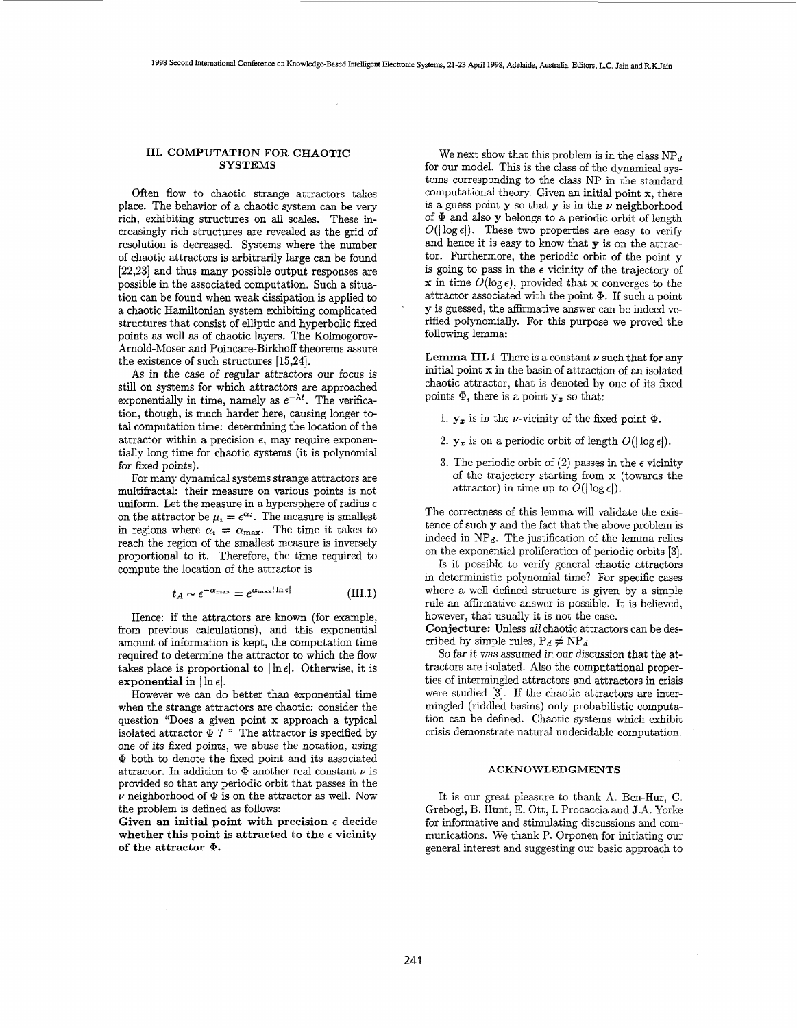$\mathcal{L}$ 

## **111. COMPUTATION FOR CHAOTIC SYSTEMS**

Often flow to chaotic strange attractors takes place. The behavior of a chaotic system can be very rich, exhibiting structures on all scales. These increasingly rich structures are revealed **as** the grid of resolution is decreased. Systems where the number of chaotic attractors is arbitrarily large can be found **[22,23]** and thus many possible output responses are possible in the associated computation. Such a situation can be found when weak dissipation is applied to a chaotic Hamiltonian system exhibiting complicated structures that consist of elliptic and hyperbolic fixed points as well **as** of chaotic layers. The Kolmogorov-Arnold-Moser and Poincare-Birkhoff theorems assure the existence of such structures **[15,24].** 

As in the case of regular attractors our focus is still on systems for which attractors are approached exponentially in time, namely as  $e^{-\lambda t}$ . The verification, though, is much harder here, causing longer total computation time: determining the location of the attractor within a precision  $\epsilon$ , may require exponentially long time for chaotic systems (it is polynomial for fixed points).

For many dynamical systems strange attractors are multifractal: their measure on various points is not uniform. Let the measure in a hypersphere of radius *<sup>E</sup>* on the attractor be  $\mu_i = e^{\alpha_i}$ . The measure is smallest in regions where  $\alpha_i = \alpha_{\text{max}}$ . The time it takes to reach the region of the smallest measure is inversely proportional to it. Therefore, the time required to compute the location of the attractor is

$$
t_A \sim \epsilon^{-\alpha_{\max}} = e^{\alpha_{\max} |\ln \epsilon|} \tag{III.1}
$$

Hence: if the attractors are known (for example, from previous calculations), and this exponential amount of information is kept, the computation time required to determine the attractor to which the flow takes place is proportional to  $\ln \epsilon$ . Otherwise, it is exponential in  $|\ln \epsilon|$ .

However we can do better than exponential time when the strange attractors are chaotic: consider the question "Does a given point **x** approach a typical isolated attractor  $\widetilde{\Phi}$  ? " The attractor is specified by one of its fixed points, we abuse the notation, using *Q!* both to denote the fixed point and its associated attractor. In addition to  $\Phi$  another real constant  $\nu$  is provided so that any periodic orbit that passes in the  $\nu$  neighborhood of  $\Phi$  is on the attractor as well. Now the problem is defined as follows:

Given an initial point with precision  $\epsilon$  decide whether this point is attracted to the  $\epsilon$  vicinity of the attractor  $\Phi$ .

We next show that this problem is in the class  $NP<sub>d</sub>$ for our model. This is the class of the dynamical systems corresponding to the class NP in the standard computational theory. Given an initial point **x,** there is a guess point y so that y is in the *U* neighborhood of *Q!* and also **y** belongs to a periodic orbit of length  $O(|\log \epsilon|)$ . These two properties are easy to verify and hence it is easy to know that y is on the attractor. Furthermore, the periodic orbit of the point **y**  is going to pass in the  $\epsilon$  vicinity of the trajectory of **x** in time  $O(\log \epsilon)$ , provided that **x** converges to the attractor associated with the point **9.** If such a point y is guessed, the affirmative answer can be indeed verified polynomially. For this purpose we proved the following lemma:

**Lemma III.1** There is a constant  $\nu$  such that for any initial point **x** in the basin of attraction of an isolated chaotic attractor, that is denoted by one of its fixed points  $\Phi$ , there is a point  $y_x$  so that:

- 1.  $y_x$  is in the *v*-vicinity of the fixed point  $\Phi$ .
- 2.  $\mathbf{y}_x$  is on a periodic orbit of length  $O(|\log \epsilon|)$ .
- **3.** The periodic orbit of (2) passes in the  $\epsilon$  vicinity of the trajectory starting from x (towards the attractor) in time up to  $\tilde{O}(|\log \epsilon|)$ .

The correctness of this lemma will validate the existence of such **y** and the fact that the above problem is indeed in  $NP<sub>d</sub>$ . The justification of the lemma relies on the exponential proliferation of periodic orbits **[3].** 

Is it possible to verify general chaotic attractors in deterministic polynomial time? For specific cases where a well defined structure is given by a simple rule an affirmative answer is possible. It is believed, however, that usually it is not the case.

Conjecture: Unless *all* chaotic attractors can be described by simple rules,  $P_d \neq NP_d$ 

*So* far it was assumed in our discussion that the attractors are isolated. Also the computational properties of intermingled attractors and attractors in crisis were studied **[3].** If the chaotic attractors are intermingled (riddled basins) only probabilistic computation can be defined. Chaotic systems which exhibit crisis demonstrate natural undecidable computation.

## **ACKNOWLEDGMENTS**

It is our great pleasure to thank **A.** Ben-Hur, C. Grebogi, B. Hunt, E. Ott, I. Procaccia and J.A. Yorke for informative and stimulating discussions and communications. We thank P. Orponen for initiating our general interest and suggesting our basic approach to